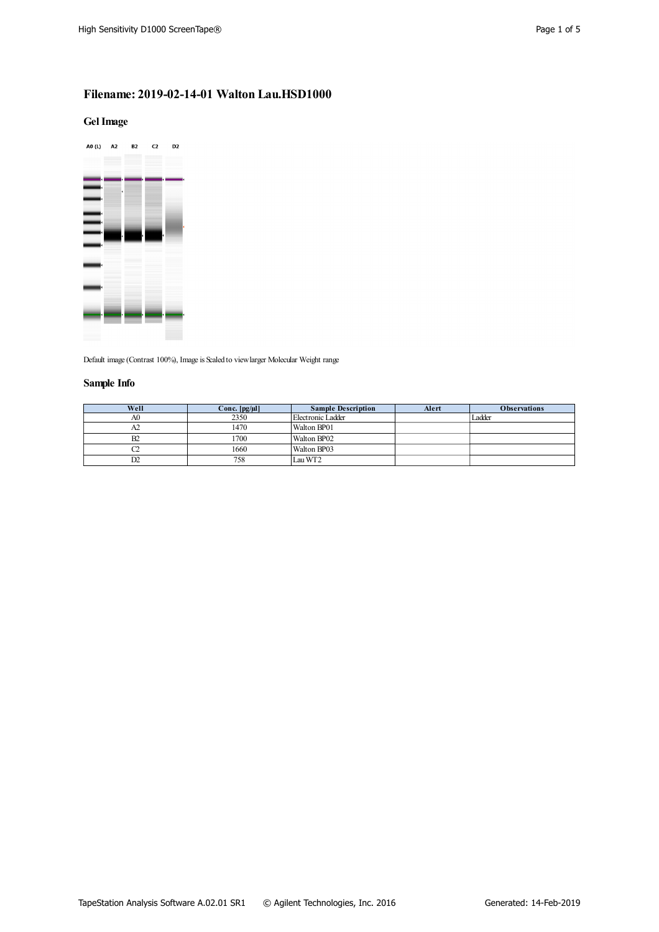# **Filename: 2019-02-14-01 Walton Lau.HSD1000**

### **GelImage**



Default image (Contrast 100%), Image is Scaled to view larger Molecular Weight range

## **Sample Info**

| Well | Conc. $[pg/\mu]$ | <b>Sample Description</b> | Alert | <b>Observations</b> |
|------|------------------|---------------------------|-------|---------------------|
| A0   | 2350             | Electronic Ladder         |       | Ladder              |
| A2   | 1470             | Walton BP01               |       |                     |
| B2   | 1700             | Walton BP02               |       |                     |
|      | 1660             | Walton BP03               |       |                     |
| D2   | 758              | Lau WT2                   |       |                     |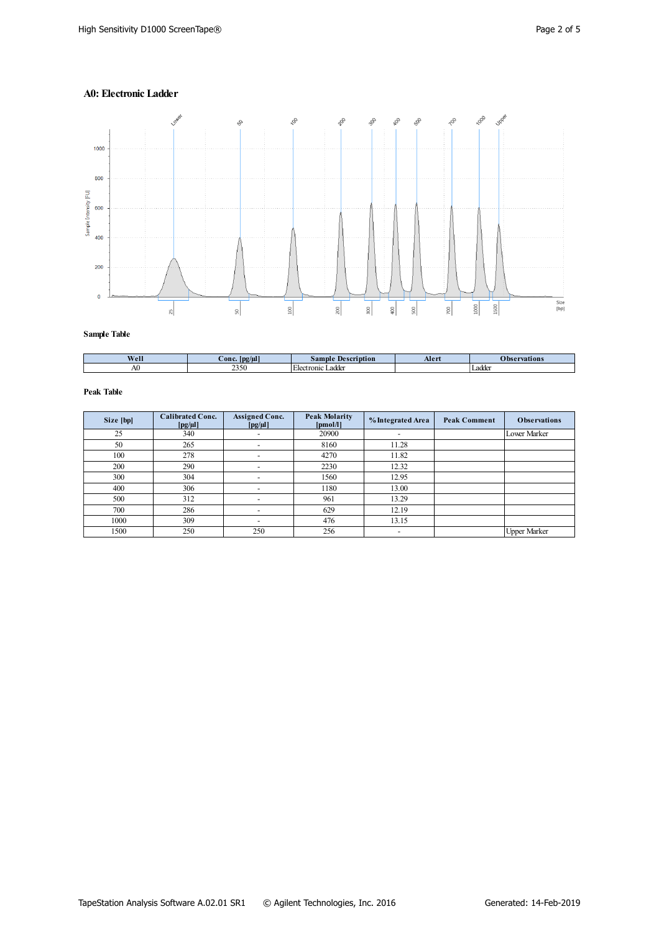## **A0: Electronic Ladder**



**Sample Table**

| Well | - -<br>conc<br> pg/ul | ، م ۱<br>ption<br>$\sigma$ ampl $\sigma$              | Aler | vations             |
|------|-----------------------|-------------------------------------------------------|------|---------------------|
| AU   | ጎጎሮሰ<br>232U          | ÷<br>tronic<br>adder<br>- Elect <sup>-</sup><br>Laure |      | $\alpha$ do<br>∟auu |

| Size [bp] | <b>Calibrated Conc.</b><br>$[pg/\mu]$ | <b>Assigned Conc.</b><br>$[pg/\mu]$ | <b>Peak Molarity</b><br>[pmol/l] | % Integrated Area        | <b>Peak Comment</b> | <b>Observations</b> |
|-----------|---------------------------------------|-------------------------------------|----------------------------------|--------------------------|---------------------|---------------------|
| 25        | 340                                   |                                     | 20900                            | $\overline{\phantom{0}}$ |                     | Lower Marker        |
| 50        | 265                                   | $\overline{\phantom{0}}$            | 8160                             | 11.28                    |                     |                     |
| 100       | 278                                   |                                     | 4270                             | 11.82                    |                     |                     |
| 200       | 290                                   |                                     | 2230                             | 12.32                    |                     |                     |
| 300       | 304                                   |                                     | 1560                             | 12.95                    |                     |                     |
| 400       | 306                                   |                                     | 1180                             | 13.00                    |                     |                     |
| 500       | 312                                   |                                     | 961                              | 13.29                    |                     |                     |
| 700       | 286                                   |                                     | 629                              | 12.19                    |                     |                     |
| 1000      | 309                                   |                                     | 476                              | 13.15                    |                     |                     |
| 1500      | 250                                   | 250                                 | 256                              | $\overline{\phantom{a}}$ |                     | <b>Upper Marker</b> |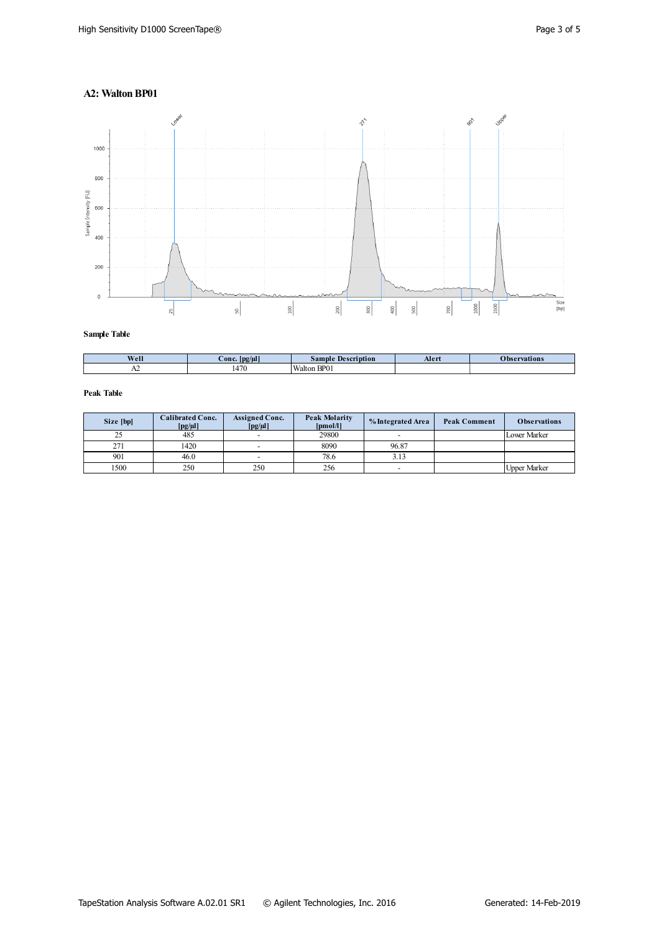### **A2: WaltonBP01**



**Sample Table**

| Well | $-$<br>$\angle$ onc.<br>$\log(\mu l)$ | <b>Description</b><br>sample | Aler | ervations |
|------|---------------------------------------|------------------------------|------|-----------|
| .    | 470<br>4/0                            | BP01<br>Walton               |      |           |

| Size [bp] | <b>Calibrated Conc.</b><br>$[pg/\mu]$ | <b>Assigned Conc.</b><br>$[pg/\mu]$ | <b>Peak Molarity</b><br>[pmol/l] | % Integrated Area | <b>Peak Comment</b> | <b>Observations</b> |
|-----------|---------------------------------------|-------------------------------------|----------------------------------|-------------------|---------------------|---------------------|
| 25        | 485                                   | $\overline{\phantom{0}}$            | 29800                            |                   |                     | <b>Lower Marker</b> |
| 271       | 1420                                  |                                     | 8090                             | 96.87             |                     |                     |
| 901       | 46.0                                  | $\overline{\phantom{0}}$            | 78.6                             | 3.13              |                     |                     |
| 1500      | 250                                   | 250                                 | 256                              |                   |                     | <b>Upper Marker</b> |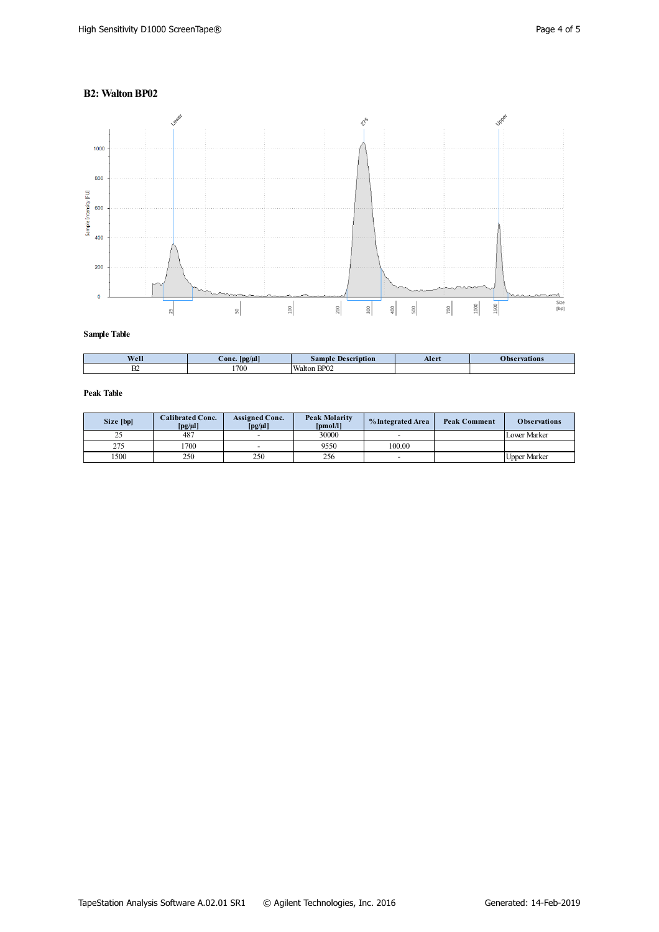### **B2: Walton BP02**



**Sample Table**

| Well      | $-$<br>$\angle$ onc $\angle$<br>$\lfloor$ pg/ $\mu$ l | <b>Description</b><br>Sample | Alert | vations |
|-----------|-------------------------------------------------------|------------------------------|-------|---------|
| <b>DA</b> | 1700                                                  | BP02<br>Walton               |       |         |

| Size [bp] | <b>Calibrated Conc.</b><br>$[pg/\mu]$ | <b>Assigned Conc.</b><br>$\lceil \text{pg}/\text{\mu} \rceil$ | <b>Peak Molarity</b><br>[pmol/l] | % Integrated Area | <b>Peak Comment</b> | <b>Observations</b> |
|-----------|---------------------------------------|---------------------------------------------------------------|----------------------------------|-------------------|---------------------|---------------------|
| ں ک       | 487                                   | $\overline{\phantom{0}}$                                      | 30000                            |                   |                     | <b>Lower Marker</b> |
| 275       | 1700                                  | $\overline{\phantom{a}}$                                      | 9550                             | 100.00            |                     |                     |
| 500       | 250                                   | 250                                                           | 256                              |                   |                     | <b>Upper Marker</b> |